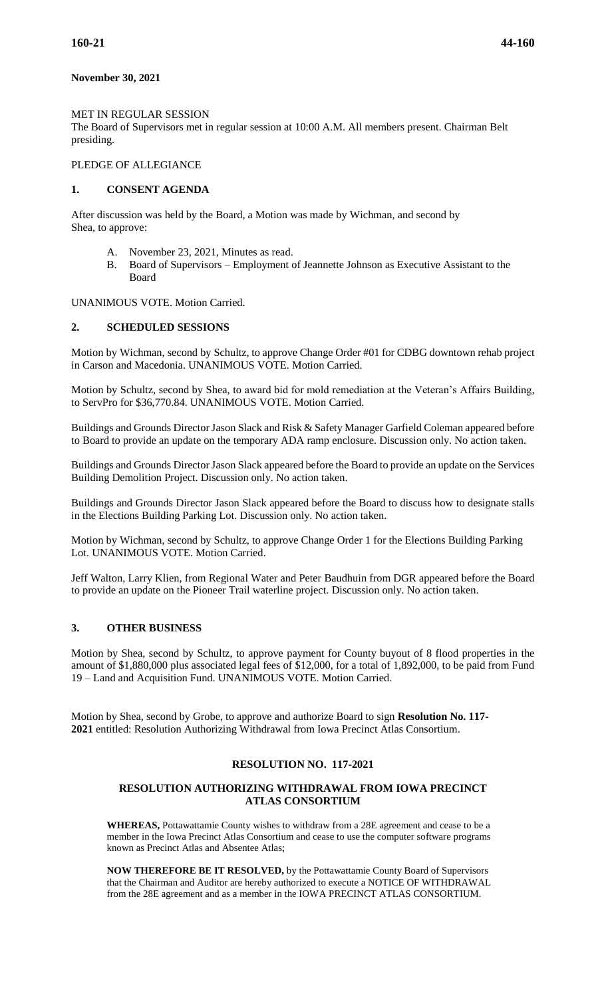# **November 30, 2021**

### MET IN REGULAR SESSION

The Board of Supervisors met in regular session at 10:00 A.M. All members present. Chairman Belt presiding.

# PLEDGE OF ALLEGIANCE

#### **1. CONSENT AGENDA**

After discussion was held by the Board, a Motion was made by Wichman, and second by Shea, to approve:

- A. November 23, 2021, Minutes as read.
- B. Board of Supervisors Employment of Jeannette Johnson as Executive Assistant to the Board

UNANIMOUS VOTE. Motion Carried.

### **2. SCHEDULED SESSIONS**

Motion by Wichman, second by Schultz, to approve Change Order #01 for CDBG downtown rehab project in Carson and Macedonia. UNANIMOUS VOTE. Motion Carried.

Motion by Schultz, second by Shea, to award bid for mold remediation at the Veteran's Affairs Building, to ServPro for \$36,770.84. UNANIMOUS VOTE. Motion Carried.

Buildings and Grounds Director Jason Slack and Risk & Safety Manager Garfield Coleman appeared before to Board to provide an update on the temporary ADA ramp enclosure. Discussion only. No action taken.

Buildings and Grounds Director Jason Slack appeared before the Board to provide an update on the Services Building Demolition Project. Discussion only. No action taken.

Buildings and Grounds Director Jason Slack appeared before the Board to discuss how to designate stalls in the Elections Building Parking Lot. Discussion only. No action taken.

Motion by Wichman, second by Schultz, to approve Change Order 1 for the Elections Building Parking Lot. UNANIMOUS VOTE. Motion Carried.

Jeff Walton, Larry Klien, from Regional Water and Peter Baudhuin from DGR appeared before the Board to provide an update on the Pioneer Trail waterline project. Discussion only. No action taken.

## **3. OTHER BUSINESS**

Motion by Shea, second by Schultz, to approve payment for County buyout of 8 flood properties in the amount of \$1,880,000 plus associated legal fees of \$12,000, for a total of 1,892,000, to be paid from Fund 19 – Land and Acquisition Fund. UNANIMOUS VOTE. Motion Carried.

Motion by Shea, second by Grobe, to approve and authorize Board to sign **Resolution No. 117- 2021** entitled: Resolution Authorizing Withdrawal from Iowa Precinct Atlas Consortium.

# **RESOLUTION NO. 117-2021**

#### **RESOLUTION AUTHORIZING WITHDRAWAL FROM IOWA PRECINCT ATLAS CONSORTIUM**

**WHEREAS,** Pottawattamie County wishes to withdraw from a 28E agreement and cease to be a member in the Iowa Precinct Atlas Consortium and cease to use the computer software programs known as Precinct Atlas and Absentee Atlas;

**NOW THEREFORE BE IT RESOLVED,** by the Pottawattamie County Board of Supervisors that the Chairman and Auditor are hereby authorized to execute a NOTICE OF WITHDRAWAL from the 28E agreement and as a member in the IOWA PRECINCT ATLAS CONSORTIUM.